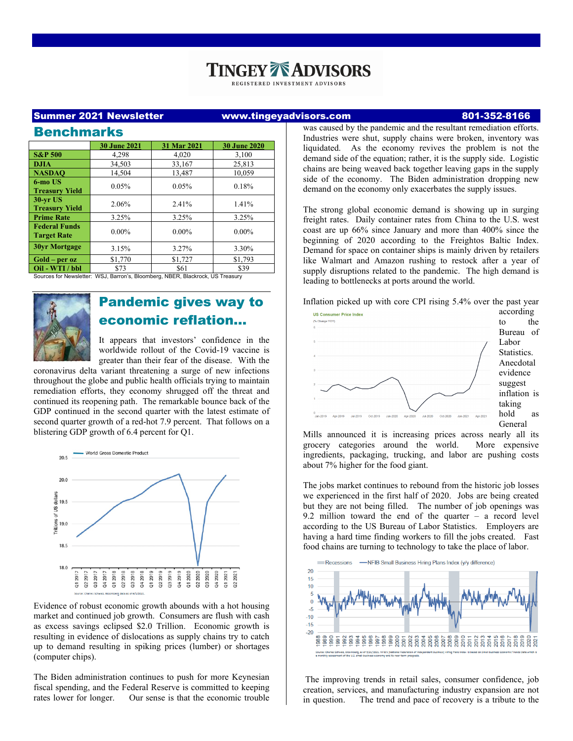# **INGEY ADVISORS**

REGISTERED INVESTMENT ADVISORS

### Summer 2021 Newsletter www.tingeyadvisors.com 801-352-8166

| <b>Benchmarks</b>                                                              |                     |             |                     |
|--------------------------------------------------------------------------------|---------------------|-------------|---------------------|
|                                                                                | <b>30 June 2021</b> | 31 Mar 2021 | <b>30 June 2020</b> |
| <b>S&amp;P 500</b>                                                             | 4,298               | 4,020       | 3,100               |
| <b>DJIA</b>                                                                    | 34,503              | 33,167      | 25,813              |
| <b>NASDAO</b>                                                                  | 14,504              | 13,487      | 10,059              |
| 6-mo US<br><b>Treasury Yield</b>                                               | 0.05%               | 0.05%       | 0.18%               |
| $30$ -vr US<br><b>Treasury Yield</b>                                           | 2.06%               | 2.41%       | 1.41%               |
| <b>Prime Rate</b>                                                              | 3.25%               | 3.25%       | 3.25%               |
| <b>Federal Funds</b><br><b>Target Rate</b>                                     | $0.00\%$            | $0.00\%$    | $0.00\%$            |
| <b>30yr Mortgage</b>                                                           | 3.15%               | 3.27%       | 3.30%               |
| $Gold-per oz$                                                                  | \$1,770             | \$1,727     | \$1,793             |
| Oil - WTI / bbl                                                                | \$73                | \$61        | \$39                |
| Sources for Newsletter: WSJ, Barron's, Bloomberg, NBER, Blackrock, US Treasury |                     |             |                     |



# Pandemic gives way to economic reflation…

It appears that investors' confidence in the worldwide rollout of the Covid-19 vaccine is greater than their fear of the disease. With the

coronavirus delta variant threatening a surge of new infections throughout the globe and public health officials trying to maintain remediation efforts, they economy shrugged off the threat and continued its reopening path. The remarkable bounce back of the GDP continued in the second quarter with the latest estimate of second quarter growth of a red-hot 7.9 percent. That follows on a blistering GDP growth of 6.4 percent for Q1.



Evidence of robust economic growth abounds with a hot housing market and continued job growth. Consumers are flush with cash as excess savings eclipsed \$2.0 Trillion. Economic growth is resulting in evidence of dislocations as supply chains try to catch up to demand resulting in spiking prices (lumber) or shortages (computer chips).

The Biden administration continues to push for more Keynesian fiscal spending, and the Federal Reserve is committed to keeping rates lower for longer. Our sense is that the economic trouble

was caused by the pandemic and the resultant remediation efforts. Industries were shut, supply chains were broken, inventory was liquidated. As the economy revives the problem is not the demand side of the equation; rather, it is the supply side. Logistic chains are being weaved back together leaving gaps in the supply side of the economy. The Biden administration dropping new demand on the economy only exacerbates the supply issues.

The strong global economic demand is showing up in surging freight rates. Daily container rates from China to the U.S. west coast are up 66% since January and more than 400% since the beginning of 2020 according to the Freightos Baltic Index. Demand for space on container ships is mainly driven by retailers like Walmart and Amazon rushing to restock after a year of supply disruptions related to the pandemic. The high demand is leading to bottlenecks at ports around the world.

Inflation picked up with core CPI rising 5.4% over the past year



to the Bureau of inflation is hold as General

Mills announced it is increasing prices across nearly all its grocery categories around the world. More expensive ingredients, packaging, trucking, and labor are pushing costs about 7% higher for the food giant.

The jobs market continues to rebound from the historic job losses we experienced in the first half of 2020. Jobs are being created but they are not being filled. The number of job openings was 9.2 million toward the end of the quarter – a record level according to the US Bureau of Labor Statistics. Employers are having a hard time finding workers to fill the jobs created. Fast food chains are turning to technology to take the place of labor.



The improving trends in retail sales, consumer confidence, job creation, services, and manufacturing industry expansion are not in question. The trend and pace of recovery is a tribute to the